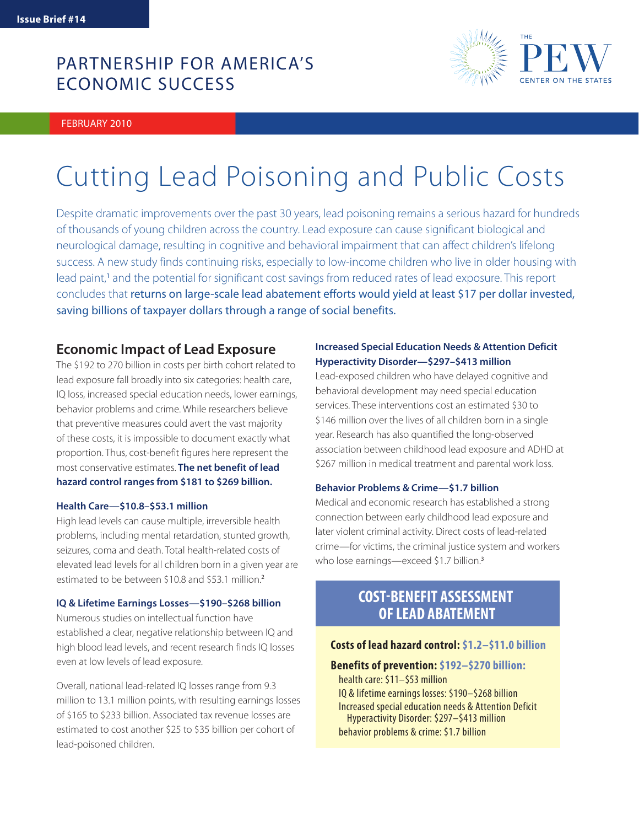## PARTNERSHIP FOR AMERICA'S ECONOMIC SUCCESS

FEBRUARY 2010



# Cutting Lead Poisoning and Public Costs

Despite dramatic improvements over the past 30 years, lead poisoning remains a serious hazard for hundreds of thousands of young children across the country. Lead exposure can cause significant biological and neurological damage, resulting in cognitive and behavioral impairment that can affect children's lifelong success. A new study finds continuing risks, especially to low-income children who live in older housing with lead paint,<sup>1</sup> and the potential for significant cost savings from reduced rates of lead exposure. This report concludes that returns on large-scale lead abatement efforts would yield at least \$17 per dollar invested, saving billions of taxpayer dollars through a range of social benefits.

## **Economic Impact of Lead Exposure**

The \$192 to 270 billion in costs per birth cohort related to lead exposure fall broadly into six categories: health care, IQ loss, increased special education needs, lower earnings, behavior problems and crime. While researchers believe that preventive measures could avert the vast majority of these costs, it is impossible to document exactly what proportion. Thus, cost-benefit figures here represent the most conservative estimates. **The net benefit of lead hazard control ranges from \$181 to \$269 billion.**

#### **Health Care—\$10.8–\$53.1 million**

High lead levels can cause multiple, irreversible health problems, including mental retardation, stunted growth, seizures, coma and death. Total health-related costs of elevated lead levels for all children born in a given year are estimated to be between \$10.8 and \$53.1 million.<sup>2</sup>

#### **IQ & Lifetime Earnings Losses—\$190–\$268 billion**

Numerous studies on intellectual function have established a clear, negative relationship between IQ and high blood lead levels, and recent research finds IQ losses even at low levels of lead exposure.

Overall, national lead-related IQ losses range from 9.3 million to 13.1 million points, with resulting earnings losses of \$165 to \$233 billion. Associated tax revenue losses are estimated to cost another \$25 to \$35 billion per cohort of lead-poisoned children.

### **Increased Special Education Needs & Attention Deficit Hyperactivity Disorder—\$297–\$413 million**

Lead-exposed children who have delayed cognitive and behavioral development may need special education services. These interventions cost an estimated \$30 to \$146 million over the lives of all children born in a single year. Research has also quantified the long-observed association between childhood lead exposure and ADHD at \$267 million in medical treatment and parental work loss.

#### **Behavior Problems & Crime—\$1.7 billion**

Medical and economic research has established a strong connection between early childhood lead exposure and later violent criminal activity. Direct costs of lead-related crime—for victims, the criminal justice system and workers who lose earnings—exceed \$1.7 billion.<sup>3</sup>

## **COST-BENEFIT ASSESSMENT OF LEAD ABATEMENT**

#### **Costs of lead hazard control: \$1.2–\$11.0 billion**

#### **Benefits of prevention: \$192–\$270 billion:**

 health care: \$11–\$53 million IQ & lifetime earnings losses: \$190–\$268 billion Increased special education needs & Attention Deficit Hyperactivity Disorder: \$297–\$413 million behavior problems & crime: \$1.7 billion